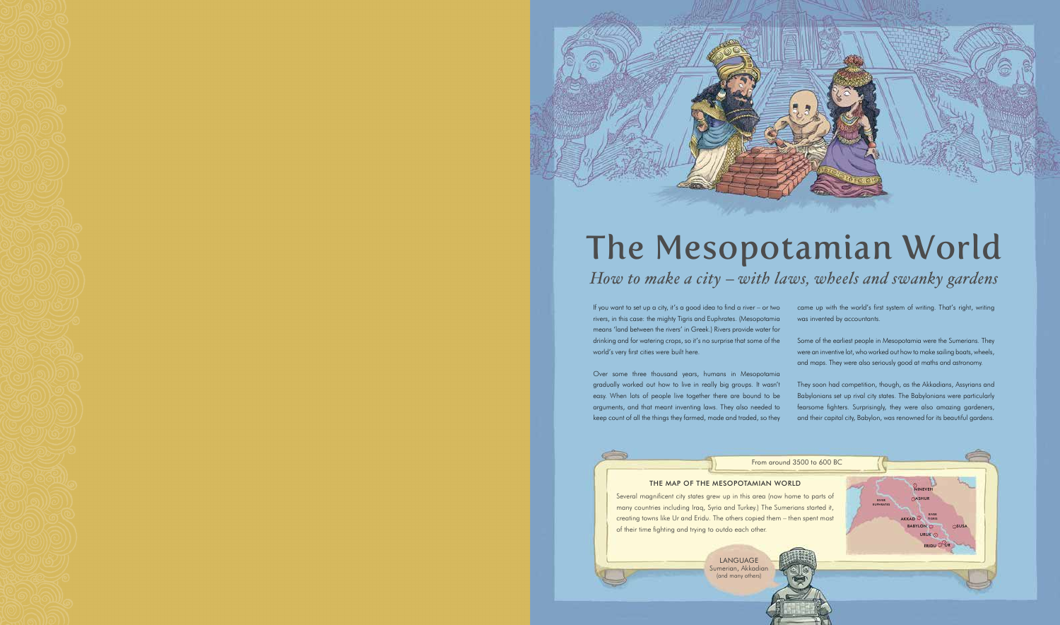



# The Mesopotamian World How to make a city – with laws, wheels and swanky gardens

If you want to set up a city, it's a good idea to find a river – or two rivers, in this case: the mighty Tigris and Euphrates. (Mesopotamia means 'land between the rivers' in Greek.) Rivers provide water for drinking and for watering crops, so it's no surprise that some of the world's very first cities were built here.

Over some three thousand years, humans in Mesopotamia gradually worked out how to live in really big groups. It wasn't easy. When lots of people live together there are bound to be arguments, and that meant inventing laws. They also needed to keep count of all the things they farmed, made and traded, so they came up with the world's first system of writing. That's right, writing was invented by accountants.

Some of the earliest people in Mesopotamia were the Sumerians. They were an inventive lot, who worked out how to make sailing boats, wheels, and maps. They were also seriously good at maths and astronomy.

They soon had competition, though, as the Akkadians, Assyrians and Babylonians set up rival city states. The Babylonians were particularly fearsome fighters. Surprisingly, they were also amazing gardeners, and their capital city, Babylon, was renowned for its beautiful gardens.

## THE MAP OF THE MESOPOTAMIAN WORLD

Several magnificent city states grew up in this area (now home to parts of many countries including Iraq, Syria and Turkey.) The Sumerians started it, creating towns like Ur and Eridu. The others copied them – then spent most of their time fighting and trying to outdo each other.



RIVER TIGRIS

ERIDU UR

ASHUR

**BABYLON** URUK **C**  SUSA

NINEVEH

AKKAD

RIVER EUPHRATES

From around 3500 to 600 BC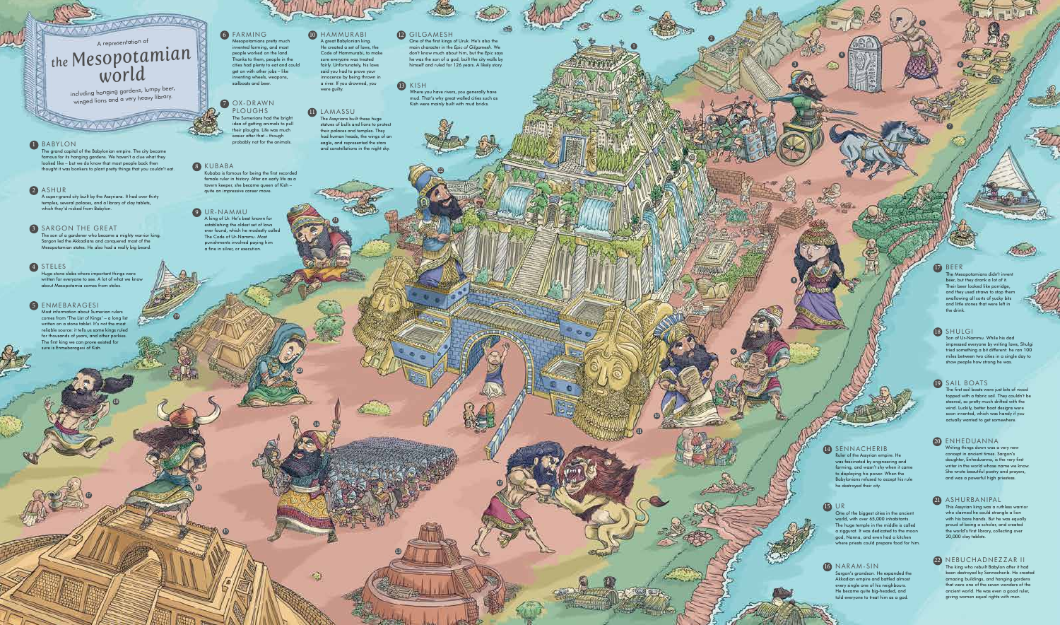### 10 HAMMURABI

A great Babylonian king. He created a set of laws, the Code of Hammurabi, to make sure everyone was treated fairly. Unfortunately, his laws said you had to prove your innocence by being thrown in a river. If you drowned, you were guilty.

## 11 LAMASSU

The grand capital of the Babylonian empire. The city became famous for its hanging gardens. We haven't a clue what they looked like – but we do know that most people back then thought it was bonkers to plant pretty things that you couldn't eat.

### **2** ASHUR

A super-grand city built by the Assyrians. It had over thirty temples, several palaces, and a library of clay tablets, which they'd nicked from Babylon.

**AND** 

#### **3** SARGON THE GREAT

The son of a gardener who became a mighty warrior king. Sargon led the Akkadians and conquered most of the nian states. He also had a really big beard.

#### 4 STELES

The Assyrians built these huge statues of bulls and lions to protect their palaces and temples. They had human heads, the wings of an eagle, and represented the stars and constellations in the night sky.

A king of Ur. He's best known for establishing the oldest set of laws ever found, which he modestly called The Code of Ur-Nammu. Most punishments involved paying him<br>a fine in silver, or execution. OX-DRAWN<br>PLOUGHS<br>The Sumerians had the idea of getting animate their ploughs. Life was<br>easier after that – tho<br>probably not for the a<br>probably not for the a<br>female ruler in history. After an ear<br>tavern keeper, she became q

1

10

## **13** KISH

18

17

19

تتريخ

16

15

20

13

21

22

## **D** BEER

12

2

**10** 

4

5

3

6

8

9

7

including hanging gardens, lumpy beer, winged lions and a very heavy library.

### **1** BABYLON

بللا

**PLOUGHS** The Sumerians had the bright idea of getting animals to pull their ploughs. Life was much easier after that – though probably not for the animals.

Mesopotamians pretty much invented farming, and most people worked on the land. Thanks to them, people in the cities had plenty to eat and could get on with other jobs – like inventing wheels, weapons, sailboats and beer.

# A representation of *the Mesopotamian world*

**VARIATION** 

Huge stone slabs where important things were written for everyone to see. A lot of what we know about Mesopotamia comes from steles.

#### 9 UR-NAMMU

ans didn't invent beer, but they drank a lot of it. Their beer looked like porridge, and they used straws to stop then swallowing all sorts of yucky bits and little stones that were left the drink.

## 6 FARMING

#### 8 KUBABA

Kubaba is famous for being the first recorded female ruler in history. After an early life as a tavern keeper, she became queen of Kish – quite an impressive career move.

## 5 ENMEBARAGESI

Most information about Sumerian rulers comes from 'The List of Kings' – a long list written on a stone tablet. It's not the most reliable source: it tells us some kings ruled for thousands of years, and other porkies. The first king we can prove existed for sure is Enmebaragesi of Kish.

Where you have rivers, you generally have mud. That's why great walled cities such as Kish were mainly built with mud bricks.

## 14 SENNACHERIB

Ruler of the Assyrian empire. He was fascinated by engineering and farming, and wasn't shy when it came to displaying his power. When the Babylonians refused to accept his rule he destroyed their city.

### 15 UR

One of the biggest cities in the ancient world, with over 65,000 inhabitants. The huge temple in the middle is called a ziggurat. It was dedicated to the moon god, Nanna, and even had a kitchen where priests could prepare food for him.

#### 16 NARAM-SIN

Sargon's grandson. He expanded the Akkadian empire and battled almost every single one of his neighbours. He became quite big-headed, and told everyone to treat him as a god.

### 18 SHULGI

Son of Ur-Nammu. While his dad impressed everyone by writing laws, Shulg tried something a bit different: he ran 100 miles between two cities in a single day to show people how strong he was.

### 19 SAIL BOATS

The first sail boats were just bits of wood topped with a fabric sail. They couldn't be steered, so pretty much drifted with the wind. Luckily, better boat designs were soon invented, which was handy if you actually wanted to get somewhere.

20 ENHEDUANNA

Writing things down was a very new concept in ancient times. Sargon's daughter, Enheduanna, is the very first writer in the world whose name we know. She wrote beautiful poetry and prayers, and was a powerful high priestess.

## 21 ASHURBANIPAL

This Assyrian king was a ruthless warrior who claimed he could strangle a lion with his bare hands. But he was equally proud of being a scholar, and created the world's first library, collecting over 20,000 clay tablets.

#### 22 NEBUCHADNEZZAR II The king who rebuilt Babylon after it had been destroyed by Sennacherib. He created amazing buildings, and hanging gardens that were one of the seven wonders of the ancient world. He was even a good ruler, giving women equal rights with men.

12 GILGAMESH One of the first kings of Uruk. He's also the main character in the *Epic of Gilgamesh*. We don't know much about him, but the *Epic* says

he was the son of a god, built the city walls by himself and ruled for 126 years. A likely story.

14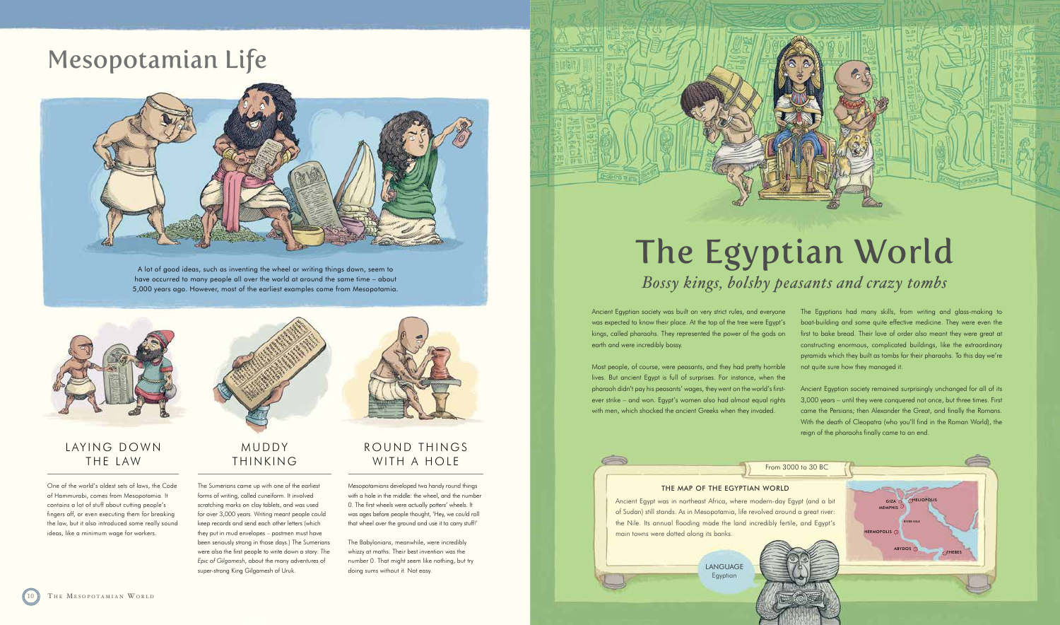# Mesopotamian Life



A lot of good ideas, such as inventing the wheel or writing things down, seem to have occurred to many people all over the world at around the same time – about 5,000 years ago. However, most of the earliest examples come from Mesopotamia.



# MUDDY THINKING

The Sumerians came up with one of the earliest forms of writing, called cuneiform. It involved scratching marks on clay tablets, and was used for over 3,000 years. Writing meant people could keep records and send each other letters (which they put in mud envelopes – postmen must have been seriously strong in those days.) The Sumerians were also the first people to write down a story: *The Epic of Gilgamesh*, about the many adventures of super-strong King Gilgamesh of Uruk.



# LAYING DOWN THE LAW

# ROUND THINGS WITH A HOLE

Most people, of course, were peasants, and they had pretty horrible lives. But ancient Egypt is full of surprises. For instance, when the pharaoh didn't pay his peasants' wages, they went on the world's firstever strike – and won. Egypt's women also had almost equal rights with men, which shocked the ancient Greeks when they invaded.

Mesopotamians developed two handy round things with a hole in the middle: the wheel, and the number 0. The first wheels were actually potters' wheels. It was ages before people thought, 'Hey, we could roll that wheel over the ground and use it to carry stuff!'

The Babylonians, meanwhile, were incredibly whizzy at maths. Their best invention was the number 0. That might seem like nothing, but try doing sums without it. Not easy.

One of the world's oldest sets of laws, the Code of Hammurabi, comes from Mesopotamia. It contains a lot of stuff about cutting people's fingers off, or even executing them for breaking the law, but it also introduced some really sound ideas, like a minimum wage for workers.

# The Egyptian World *Bossy kings, bolshy peasants and crazy tombs*

Ancient Egyptian society was built on very strict rules, and everyone was expected to know their place. At the top of the tree were Egypt's kings, called pharaohs. They represented the power of the gods on earth and were incredibly bossy.

The Egyptians had many skills, from writing and glass-making to boat-building and some quite effective medicine. They were even the first to bake bread. Their love of order also meant they were great at constructing enormous, complicated buildings, like the extraordinary pyramids which they built as tombs for their pharaohs. To this day we're not quite sure how they managed it.

Ancient Egyptian society remained surprisingly unchanged for all of its 3,000 years – until they were conquered not once, but three times. First came the Persians; then Alexander the Great, and finally the Romans. With the death of Cleopatra (who you'll find in the Roman World), the reign of the pharaohs finally came to an end.